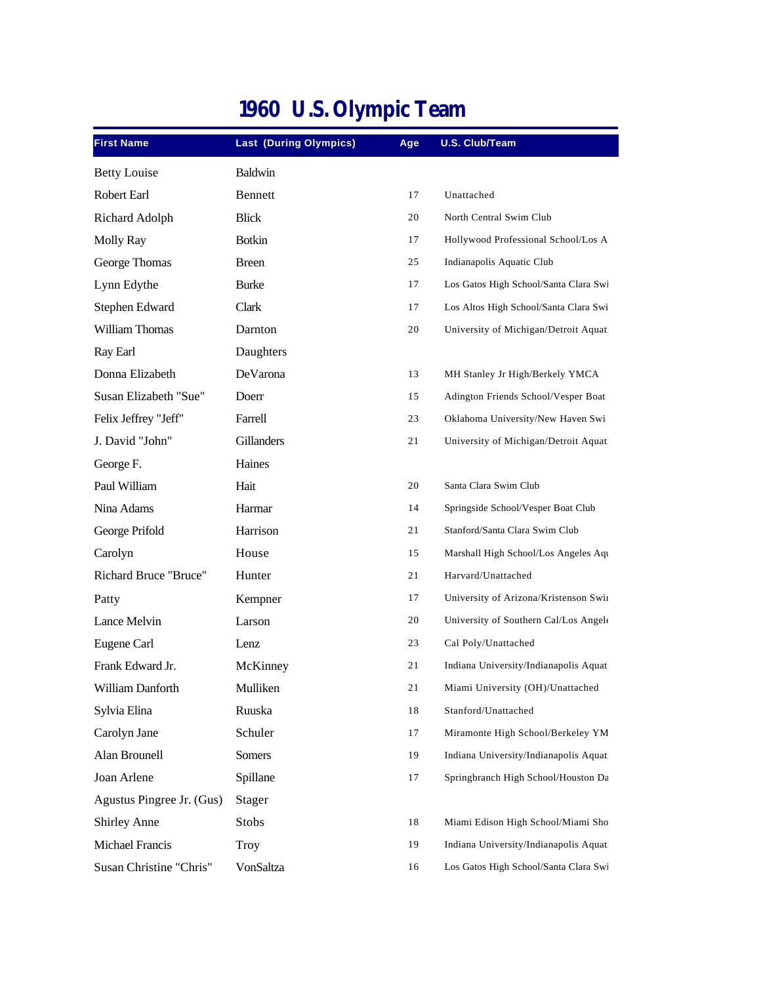| <b>First Name</b>            | <b>Last (During Olympics)</b> | Age | U.S. Club/Team                        |
|------------------------------|-------------------------------|-----|---------------------------------------|
| <b>Betty Louise</b>          | <b>Baldwin</b>                |     |                                       |
| Robert Earl                  | Bennett                       | 17  | Unattached                            |
| Richard Adolph               | <b>Blick</b>                  | 20  | North Central Swim Club               |
| <b>Molly Ray</b>             | <b>Botkin</b>                 | 17  | Hollywood Professional School/Los A   |
| George Thomas                | <b>Breen</b>                  | 25  | Indianapolis Aquatic Club             |
| Lynn Edythe                  | <b>Burke</b>                  | 17  | Los Gatos High School/Santa Clara Swi |
| Stephen Edward               | Clark                         | 17  | Los Altos High School/Santa Clara Swi |
| <b>William Thomas</b>        | Darnton                       | 20  | University of Michigan/Detroit Aquat  |
| Ray Earl                     | Daughters                     |     |                                       |
| Donna Elizabeth              | DeVarona                      | 13  | MH Stanley Jr High/Berkely YMCA       |
| Susan Elizabeth "Sue"        | Doerr                         | 15  | Adington Friends School/Vesper Boat   |
| Felix Jeffrey "Jeff"         | Farrell                       | 23  | Oklahoma University/New Haven Swi     |
| J. David "John"              | Gillanders                    | 21  | University of Michigan/Detroit Aquat  |
| George F.                    | Haines                        |     |                                       |
| Paul William                 | Hait                          | 20  | Santa Clara Swim Club                 |
| Nina Adams                   | Harmar                        | 14  | Springside School/Vesper Boat Club    |
| George Prifold               | Harrison                      | 21  | Stanford/Santa Clara Swim Club        |
| Carolyn                      | House                         | 15  | Marshall High School/Los Angeles Aqu  |
| <b>Richard Bruce "Bruce"</b> | Hunter                        | 21  | Harvard/Unattached                    |
| Patty                        | Kempner                       | 17  | University of Arizona/Kristenson Swii |
| Lance Melvin                 | Larson                        | 20  | University of Southern Cal/Los Angele |
| Eugene Carl                  | Lenz                          | 23  | Cal Poly/Unattached                   |
| Frank Edward Jr.             | McKinney                      | 21  | Indiana University/Indianapolis Aquat |
| William Danforth             | Mulliken                      | 21  | Miami University (OH)/Unattached      |
| Sylvia Elina                 | Ruuska                        | 18  | Stanford/Unattached                   |
| Carolyn Jane                 | Schuler                       | 17  | Miramonte High School/Berkeley YM     |
| Alan Brounell                | Somers                        | 19  | Indiana University/Indianapolis Aquat |
| Joan Arlene                  | Spillane                      | 17  | Springbranch High School/Houston Da   |
| Agustus Pingree Jr. (Gus)    | Stager                        |     |                                       |
| <b>Shirley Anne</b>          | Stobs                         | 18  | Miami Edison High School/Miami Sho    |
| Michael Francis              | Troy                          | 19  | Indiana University/Indianapolis Aquat |
| Susan Christine "Chris"      | VonSaltza                     | 16  | Los Gatos High School/Santa Clara Swi |

## **1960 U.S. Olympic Team**